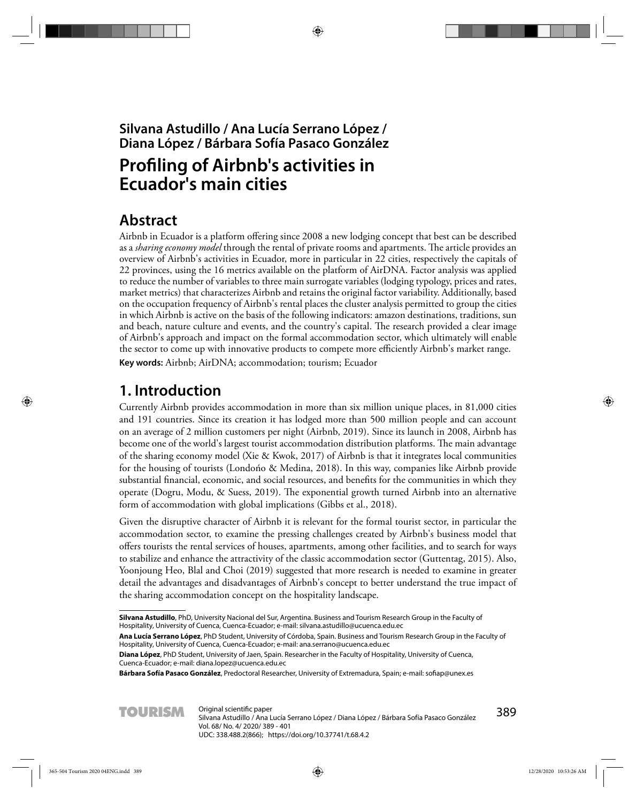## **Silvana Astudillo / Ana Lucía Serrano López / Diana López / Bárbara Sofía Pasaco González**

# **Profiling of Airbnb's activities in Ecuador's main cities**

# **Abstract**

Airbnb in Ecuador is a platform offering since 2008 a new lodging concept that best can be described as a *sharing economy model* through the rental of private rooms and apartments. The article provides an overview of Airbnb's activities in Ecuador, more in particular in 22 cities, respectively the capitals of 22 provinces, using the 16 metrics available on the platform of AirDNA. Factor analysis was applied to reduce the number of variables to three main surrogate variables (lodging typology, prices and rates, market metrics) that characterizes Airbnb and retains the original factor variability. Additionally, based on the occupation frequency of Airbnb's rental places the cluster analysis permitted to group the cities in which Airbnb is active on the basis of the following indicators: amazon destinations, traditions, sun and beach, nature culture and events, and the country's capital. The research provided a clear image of Airbnb's approach and impact on the formal accommodation sector, which ultimately will enable the sector to come up with innovative products to compete more efficiently Airbnb's market range.

**Key words:** Airbnb; AirDNA; accommodation; tourism; Ecuador

# **1. Introduction**

Currently Airbnb provides accommodation in more than six million unique places, in 81,000 cities and 191 countries. Since its creation it has lodged more than 500 million people and can account on an average of 2 million customers per night (Airbnb, 2019). Since its launch in 2008, Airbnb has become one of the world's largest tourist accommodation distribution platforms. The main advantage of the sharing economy model (Xie & Kwok, 2017) of Airbnb is that it integrates local communities for the housing of tourists (Londońo & Medina, 2018). In this way, companies like Airbnb provide substantial financial, economic, and social resources, and benefits for the communities in which they operate (Dogru, Modu, & Suess, 2019). The exponential growth turned Airbnb into an alternative form of accommodation with global implications (Gibbs et al., 2018).

Given the disruptive character of Airbnb it is relevant for the formal tourist sector, in particular the accommodation sector, to examine the pressing challenges created by Airbnb's business model that offers tourists the rental services of houses, apartments, among other facilities, and to search for ways to stabilize and enhance the attractivity of the classic accommodation sector (Guttentag, 2015). Also, Yoonjoung Heo, Blal and Choi (2019) suggested that more research is needed to examine in greater detail the advantages and disadvantages of Airbnb's concept to better understand the true impact of the sharing accommodation concept on the hospitality landscape.

Bárbara Sofía Pasaco González, Predoctoral Researcher, University of Extremadura, Spain; e-mail: sofiap@unex.es



**Silvana Astudillo**, PhD, University Nacional del Sur, Argentina. Business and Tourism Research Group in the Faculty of Hospitality, University of Cuenca, Cuenca-Ecuador; e-mail: silvana.astudillo@ucuenca.edu.ec

**Ana Lucía Serrano López**, PhD Student, University of Córdoba, Spain. Business and Tourism Research Group in the Faculty of Hospitality, University of Cuenca, Cuenca-Ecuador; e-mail: ana.serrano@ucuenca.edu.ec

**Diana López**, PhD Student, University of Jaen, Spain. Researcher in the Faculty of Hospitality, University of Cuenca, Cuenca-Ecuador; e-mail: diana.lopez@ucuenca.edu.ec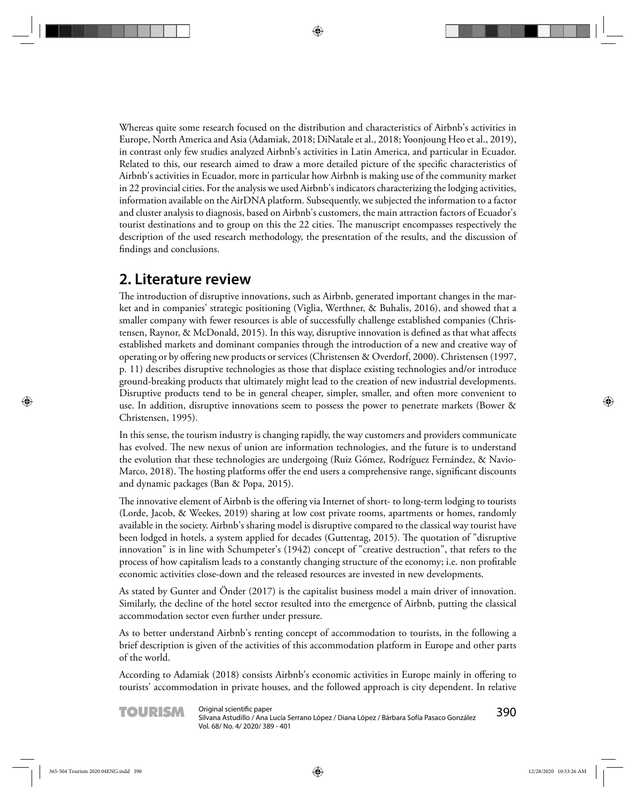Whereas quite some research focused on the distribution and characteristics of Airbnb's activities in Europe, North America and Asia (Adamiak, 2018; DiNatale et al., 2018; Yoonjoung Heo et al., 2019), in contrast only few studies analyzed Airbnb's activities in Latin America, and particular in Ecuador. Related to this, our research aimed to draw a more detailed picture of the specific characteristics of Airbnb's activities in Ecuador, more in particular how Airbnb is making use of the community market in 22 provincial cities. For the analysis we used Airbnb's indicators characterizing the lodging activities, information available on the AirDNA platform. Subsequently, we subjected the information to a factor and cluster analysis to diagnosis, based on Airbnb's customers, the main attraction factors of Ecuador's tourist destinations and to group on this the 22 cities. The manuscript encompasses respectively the description of the used research methodology, the presentation of the results, and the discussion of findings and conclusions.

## **2. Literature review**

The introduction of disruptive innovations, such as Airbnb, generated important changes in the market and in companies' strategic positioning (Viglia, Werthner, & Buhalis, 2016), and showed that a smaller company with fewer resources is able of successfully challenge established companies (Christensen, Raynor, & McDonald, 2015). In this way, disruptive innovation is defined as that what affects established markets and dominant companies through the introduction of a new and creative way of operating or by offering new products or services (Christensen & Overdorf, 2000). Christensen (1997, p. 11) describes disruptive technologies as those that displace existing technologies and/or introduce ground-breaking products that ultimately might lead to the creation of new industrial developments. Disruptive products tend to be in general cheaper, simpler, smaller, and often more convenient to use. In addition, disruptive innovations seem to possess the power to penetrate markets (Bower & Christensen, 1995).

In this sense, the tourism industry is changing rapidly, the way customers and providers communicate has evolved. The new nexus of union are information technologies, and the future is to understand the evolution that these technologies are undergoing (Ruiz Gómez, Rodríguez Fernández, & Navio-Marco, 2018). The hosting platforms offer the end users a comprehensive range, significant discounts and dynamic packages (Ban & Popa, 2015).

The innovative element of Airbnb is the offering via Internet of short- to long-term lodging to tourists (Lorde, Jacob, & Weekes, 2019) sharing at low cost private rooms, apartments or homes, randomly available in the society. Airbnb's sharing model is disruptive compared to the classical way tourist have been lodged in hotels, a system applied for decades (Guttentag, 2015). The quotation of "disruptive innovation" is in line with Schumpeter's (1942) concept of "creative destruction", that refers to the process of how capitalism leads to a constantly changing structure of the economy; i.e. non profitable economic activities close-down and the released resources are invested in new developments.

As stated by Gunter and Önder (2017) is the capitalist business model a main driver of innovation. Similarly, the decline of the hotel sector resulted into the emergence of Airbnb, putting the classical accommodation sector even further under pressure.

As to better understand Airbnb's renting concept of accommodation to tourists, in the following a brief description is given of the activities of this accommodation platform in Europe and other parts of the world.

According to Adamiak (2018) consists Airbnb's economic activities in Europe mainly in offering to tourists' accommodation in private houses, and the followed approach is city dependent. In relative

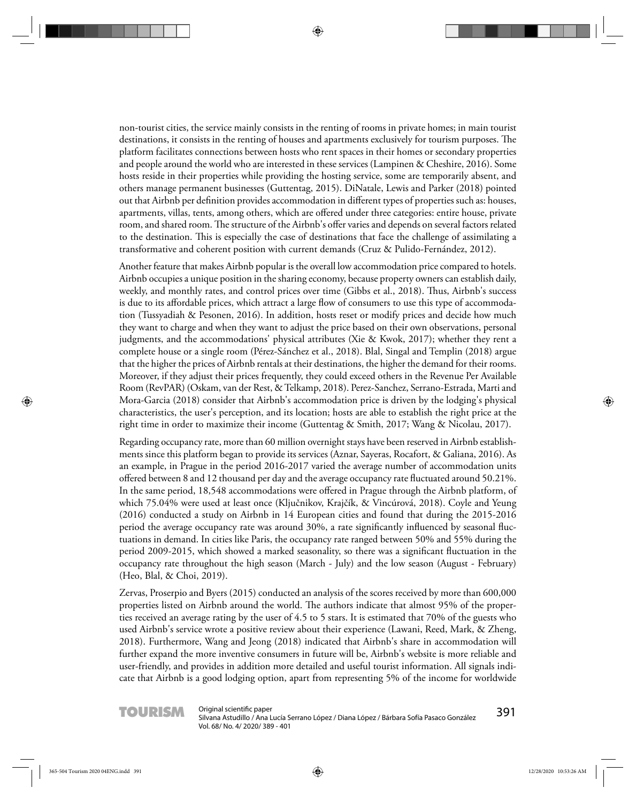non-tourist cities, the service mainly consists in the renting of rooms in private homes; in main tourist destinations, it consists in the renting of houses and apartments exclusively for tourism purposes. The platform facilitates connections between hosts who rent spaces in their homes or secondary properties and people around the world who are interested in these services (Lampinen & Cheshire, 2016). Some hosts reside in their properties while providing the hosting service, some are temporarily absent, and others manage permanent businesses (Guttentag, 2015). DiNatale, Lewis and Parker (2018) pointed out that Airbnb per definition provides accommodation in different types of properties such as: houses, apartments, villas, tents, among others, which are offered under three categories: entire house, private room, and shared room. The structure of the Airbnb's offer varies and depends on several factors related to the destination. This is especially the case of destinations that face the challenge of assimilating a transformative and coherent position with current demands (Cruz & Pulido-Fernández, 2012).

Another feature that makes Airbnb popular is the overall low accommodation price compared to hotels. Airbnb occupies a unique position in the sharing economy, because property owners can establish daily, weekly, and monthly rates, and control prices over time (Gibbs et al., 2018). Thus, Airbnb's success is due to its affordable prices, which attract a large flow of consumers to use this type of accommodation (Tussyadiah & Pesonen, 2016). In addition, hosts reset or modify prices and decide how much they want to charge and when they want to adjust the price based on their own observations, personal judgments, and the accommodations' physical attributes (Xie & Kwok, 2017); whether they rent a complete house or a single room (Pérez-Sánchez et al., 2018). Blal, Singal and Templin (2018) argue that the higher the prices of Airbnb rentals at their destinations, the higher the demand for their rooms. Moreover, if they adjust their prices frequently, they could exceed others in the Revenue Per Available Room (RevPAR) (Oskam, van der Rest, & Telkamp, 2018). Perez-Sanchez, Serrano-Estrada, Marti and Mora-Garcia (2018) consider that Airbnb's accommodation price is driven by the lodging's physical characteristics, the user's perception, and its location; hosts are able to establish the right price at the right time in order to maximize their income (Guttentag & Smith, 2017; Wang & Nicolau, 2017).

Regarding occupancy rate, more than 60 million overnight stays have been reserved in Airbnb establishments since this platform began to provide its services (Aznar, Sayeras, Rocafort, & Galiana, 2016). As an example, in Prague in the period 2016-2017 varied the average number of accommodation units offered between 8 and 12 thousand per day and the average occupancy rate fluctuated around 50.21%. In the same period, 18,548 accommodations were offered in Prague through the Airbnb platform, of which 75.04% were used at least once (Ključnikov, Krajčík, & Vincúrová, 2018). Coyle and Yeung (2016) conducted a study on Airbnb in 14 European cities and found that during the 2015-2016 period the average occupancy rate was around 30%, a rate significantly influenced by seasonal fluctuations in demand. In cities like Paris, the occupancy rate ranged between 50% and 55% during the period 2009-2015, which showed a marked seasonality, so there was a significant fluctuation in the occupancy rate throughout the high season (March - July) and the low season (August - February) (Heo, Blal, & Choi, 2019).

Zervas, Proserpio and Byers (2015) conducted an analysis of the scores received by more than 600,000 properties listed on Airbnb around the world. The authors indicate that almost 95% of the properties received an average rating by the user of 4.5 to 5 stars. It is estimated that 70% of the guests who used Airbnb's service wrote a positive review about their experience (Lawani, Reed, Mark, & Zheng, 2018). Furthermore, Wang and Jeong (2018) indicated that Airbnb's share in accommodation will further expand the more inventive consumers in future will be, Airbnb's website is more reliable and user-friendly, and provides in addition more detailed and useful tourist information. All signals indicate that Airbnb is a good lodging option, apart from representing 5% of the income for worldwide

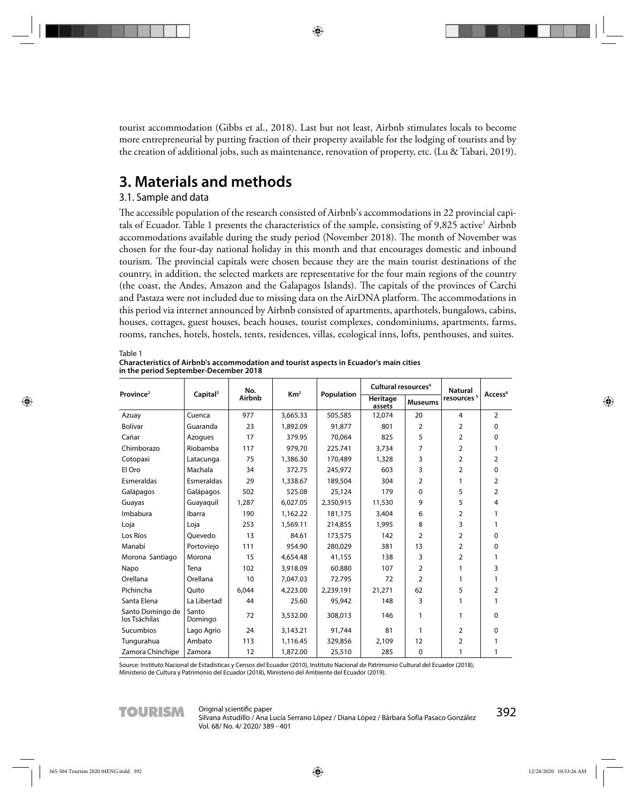tourist accommodation (Gibbs et al., 2018). Last but not least, Airbnb stimulates locals to become more entrepreneurial by putting fraction of their property available for the lodging of tourists and by the creation of additional jobs, such as maintenance, renovation of property, etc. (Lu & Tabari, 2019).

## **3. Materials and methods**

### 3.1. Sample and data

The accessible population of the research consisted of Airbnb's accommodations in 22 provincial capitals of Ecuador. Table 1 presents the characteristics of the sample, consisting of 9,825 active<sup>1</sup> Airbnb accommodations available during the study period (November 2018). The month of November was chosen for the four-day national holiday in this month and that encourages domestic and inbound tourism. The provincial capitals were chosen because they are the main tourist destinations of the country, in addition, the selected markets are representative for the four main regions of the country (the coast, the Andes, Amazon and the Galapagos Islands). The capitals of the provinces of Carchi and Pastaza were not included due to missing data on the AirDNA platform. The accommodations in this period via internet announced by Airbnb consisted of apartments, aparthotels, bungalows, cabins, houses, cottages, guest houses, beach houses, tourist complexes, condominiums, apartments, farms, rooms, ranches, hotels, hostels, tents, residences, villas, ecological inns, lofts, penthouses, and suites.

Table 1

**Characteristics of Airbnb's accommodation and tourist aspects in Ecuador's main cities in the period September-December 2018**

|                                   |                      | No.    |                     |            | Cultural resources <sup>4</sup> |                | <b>Natural</b> |                     |  |
|-----------------------------------|----------------------|--------|---------------------|------------|---------------------------------|----------------|----------------|---------------------|--|
| Province <sup>2</sup>             | Capital <sup>3</sup> | Airbnb | Km <sup>2</sup>     | Population | Heritage<br>assets              | <b>Museums</b> |                | Access <sup>6</sup> |  |
| Azuay                             | Cuenca               | 977    | 3,665.33            | 505,585    | 12,074                          | 20             | 4              | $\overline{2}$      |  |
| Bolívar                           | Guaranda             | 23     | 1,892.09            | 91.877     | 801                             | 2              | $\overline{2}$ | $\Omega$            |  |
| Cañar                             | Azogues              | 17     | 379.95              | 70.064     | 825                             | 5              | $\overline{2}$ | $\Omega$            |  |
| Chimborazo                        | Riobamba             | 117    | 979,70              | 225.741    | 3,734                           | 7              | $\overline{2}$ | 1                   |  |
| Cotopaxi                          | Latacunga            | 75     | 1,386.30            | 170,489    | 1,328                           | 3              | $\overline{2}$ | $\overline{2}$      |  |
| El Oro                            | Machala              | 34     | 372.75              | 245,972    | 603                             | 3              | $\overline{2}$ | $\Omega$            |  |
| Esmeraldas                        | Esmeraldas           | 29     | 1,338.67            | 189,504    | 304                             | 2              | 1              | $\overline{2}$      |  |
| Galápagos                         | Galápagos            | 502    | 525.08              | 25,124     | 179                             | $\Omega$       | 5              | $\overline{2}$      |  |
| Guayas                            | Guayaquil            | 1,287  | 6,027.05            | 2,350,915  | 11,530                          | 9              | 5.             | 4                   |  |
| Imbabura                          | Ibarra               | 190    | 1,162.22<br>181,175 |            | 3,404                           | 6              | $\overline{2}$ | 1                   |  |
| Loja                              | Loja                 | 253    | 1,569.11            | 214,855    | 1,995                           | 8              | 3              | 1                   |  |
| Los Ríos                          | Ouevedo              | 13     | 84.61               | 173,575    | 142                             | $\overline{2}$ | $\overline{2}$ | $\Omega$            |  |
| Manabí                            | Portoviejo           | 111    | 954.90              | 280.029    | 381                             | 13             | $\overline{2}$ | $\Omega$            |  |
| Morona Santiago                   | Morona               | 15     | 4,654.48            | 41,155     | 138                             | 3              | $\overline{2}$ | 1                   |  |
| Napo                              | Tena                 | 102    | 3,918.09            | 60.880     | 107                             | 2              | 1              | 3                   |  |
| Orellana                          | Orellana             | 10     | 7,047.03            | 72.795     | 72                              | $\overline{2}$ | 1              | 1                   |  |
| Pichincha                         | Ouito                | 6,044  | 4,223.00            | 2,239.191  | 21,271                          | 62             | 5              | 2                   |  |
| Santa Elena                       | La Libertad          | 44     | 25.60               | 95,942     | 148                             | 3              | 1              | 1                   |  |
| Santo Domingo de<br>los Tsáchilas | Santo<br>Domingo     | 72     | 3,532.00            | 308,013    | 146                             | 1              | 1              | $\mathbf{0}$        |  |
| Sucumbios                         | Lago Agrio           | 24     | 3,143.21            | 91,744     | 81                              | 1              | $\overline{2}$ | $\Omega$            |  |
| Tungurahua                        | Ambato               | 113    | 1.116.45            | 329,856    | 2.109                           | 12             | 2              | 1                   |  |
| Zamora Chinchipe                  | Zamora               | 12     | 1,872.00            | 25,510     | 285                             | 0              | 1              | 1                   |  |

Source: Instituto Nacional de Estadísticas y Censos del Ecuador (2010), Instituto Nacional de Patrimonio Cultural del Ecuador (2018), Ministerio de Cultura y Patrimonio del Ecuador (2018), Ministerio del Ambiente del Ecuador (2019).

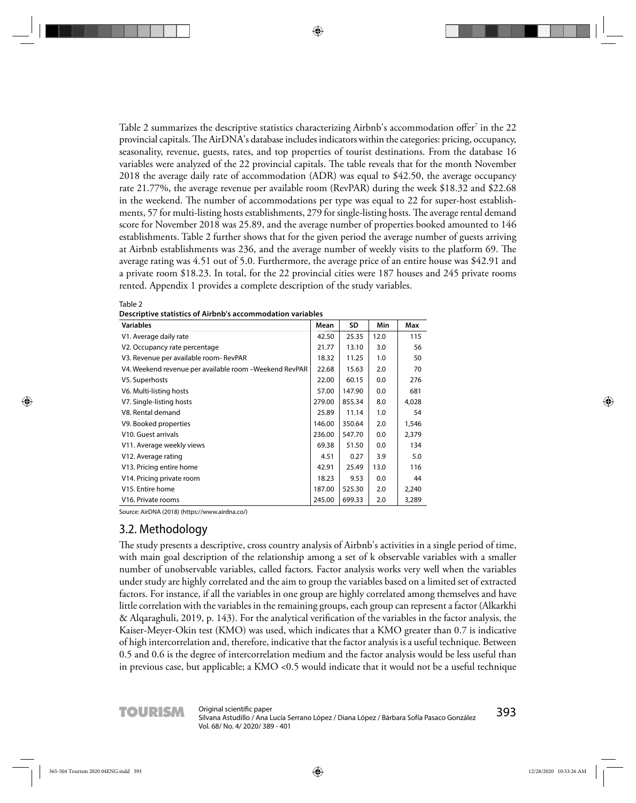Table 2 summarizes the descriptive statistics characterizing Airbnb's accommodation offer<sup>7</sup> in the 22  $\,$ provincial capitals. The AirDNA's database includes indicators within the categories: pricing, occupancy, seasonality, revenue, guests, rates, and top properties of tourist destinations. From the database 16 variables were analyzed of the 22 provincial capitals. The table reveals that for the month November 2018 the average daily rate of accommodation (ADR) was equal to \$42.50, the average occupancy rate 21.77%, the average revenue per available room (RevPAR) during the week \$18.32 and \$22.68 in the weekend. The number of accommodations per type was equal to 22 for super-host establishments, 57 for multi-listing hosts establishments, 279 for single-listing hosts. The average rental demand score for November 2018 was 25.89, and the average number of properties booked amounted to 146 establishments. Table 2 further shows that for the given period the average number of guests arriving at Airbnb establishments was 236, and the average number of weekly visits to the platform 69. The average rating was 4.51 out of 5.0. Furthermore, the average price of an entire house was \$42.91 and a private room \$18.23. In total, for the 22 provincial cities were 187 houses and 245 private rooms rented. Appendix 1 provides a complete description of the study variables.

| <b>Variables</b>                                       | Mean   | SD     | Min  | Max   |
|--------------------------------------------------------|--------|--------|------|-------|
| V1. Average daily rate                                 | 42.50  | 25.35  | 12.0 | 115   |
| V <sub>2</sub> . Occupancy rate percentage             | 21.77  | 13.10  | 3.0  | 56    |
| V3. Revenue per available room- RevPAR                 | 18.32  | 11.25  | 1.0  | 50    |
| V4. Weekend revenue per available room -Weekend RevPAR | 22.68  | 15.63  | 2.0  | 70    |
| V5. Superhosts                                         | 22.00  | 60.15  | 0.0  | 276   |
| V6. Multi-listing hosts                                | 57.00  | 147.90 | 0.0  | 681   |
| V7. Single-listing hosts                               | 279.00 | 855.34 | 8.0  | 4,028 |
| V8. Rental demand                                      | 25.89  | 11.14  | 1.0  | 54    |
| V9. Booked properties                                  | 146.00 | 350.64 | 2.0  | 1,546 |
| V10. Guest arrivals                                    | 236.00 | 547.70 | 0.0  | 2,379 |
| V11. Average weekly views                              | 69.38  | 51.50  | 0.0  | 134   |
| V12. Average rating                                    | 4.51   | 0.27   | 3.9  | 5.0   |
| V13. Pricing entire home                               | 42.91  | 25.49  | 13.0 | 116   |
| V14. Pricing private room                              | 18.23  | 9.53   | 0.0  | 44    |
| V <sub>15</sub> . Entire home                          | 187.00 | 525.30 | 2.0  | 2,240 |
| V <sub>16</sub> . Private rooms                        | 245.00 | 699.33 | 2.0  | 3,289 |

Table 2 **Descriptive statistics of Airbnb's accommodation variables**

Source: AirDNA (2018) (https://www.airdna.co/)

### 3.2. Methodology

The study presents a descriptive, cross country analysis of Airbnb's activities in a single period of time, with main goal description of the relationship among a set of k observable variables with a smaller number of unobservable variables, called factors. Factor analysis works very well when the variables under study are highly correlated and the aim to group the variables based on a limited set of extracted factors. For instance, if all the variables in one group are highly correlated among themselves and have little correlation with the variables in the remaining groups, each group can represent a factor (Alkarkhi & Alqaraghuli, 2019, p. 143). For the analytical verification of the variables in the factor analysis, the Kaiser-Meyer-Okin test (KMO) was used, which indicates that a KMO greater than 0.7 is indicative of high intercorrelation and, therefore, indicative that the factor analysis is a useful technique. Between 0.5 and 0.6 is the degree of intercorrelation medium and the factor analysis would be less useful than in previous case, but applicable; a KMO <0.5 would indicate that it would not be a useful technique

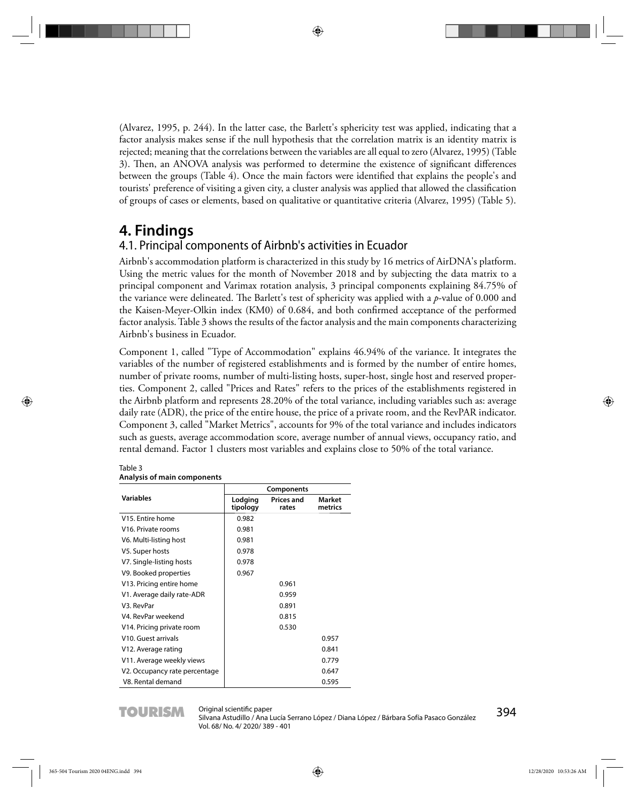(Alvarez, 1995, p. 244). In the latter case, the Barlett's sphericity test was applied, indicating that a factor analysis makes sense if the null hypothesis that the correlation matrix is an identity matrix is rejected; meaning that the correlations between the variables are all equal to zero (Alvarez, 1995) (Table 3). Then, an ANOVA analysis was performed to determine the existence of significant differences between the groups (Table 4). Once the main factors were identified that explains the people's and tourists' preference of visiting a given city, a cluster analysis was applied that allowed the classification of groups of cases or elements, based on qualitative or quantitative criteria (Alvarez, 1995) (Table 5).

## **4. Findings**

### 4.1. Principal components of Airbnb's activities in Ecuador

Airbnb's accommodation platform is characterized in this study by 16 metrics of AirDNA's platform. Using the metric values for the month of November 2018 and by subjecting the data matrix to a principal component and Varimax rotation analysis, 3 principal components explaining 84.75% of the variance were delineated. The Barlett's test of sphericity was applied with a *p*-value of 0.000 and the Kaisen-Meyer-Olkin index (KM0) of 0.684, and both confirmed acceptance of the performed factor analysis. Table 3 shows the results of the factor analysis and the main components characterizing Airbnb's business in Ecuador.

Component 1, called "Type of Accommodation" explains 46.94% of the variance. It integrates the variables of the number of registered establishments and is formed by the number of entire homes, number of private rooms, number of multi-listing hosts, super-host, single host and reserved properties. Component 2, called "Prices and Rates" refers to the prices of the establishments registered in the Airbnb platform and represents 28.20% of the total variance, including variables such as: average daily rate (ADR), the price of the entire house, the price of a private room, and the RevPAR indicator. Component 3, called "Market Metrics", accounts for 9% of the total variance and includes indicators such as guests, average accommodation score, average number of annual views, occupancy ratio, and rental demand. Factor 1 clusters most variables and explains close to 50% of the total variance.

|                                  |                     | Components                 |                   |
|----------------------------------|---------------------|----------------------------|-------------------|
| <b>Variables</b>                 | Lodging<br>tipology | <b>Prices and</b><br>rates | Market<br>metrics |
| V <sub>15</sub> . Entire home    | 0.982               |                            |                   |
| V <sub>16</sub> . Private rooms  | 0.981               |                            |                   |
| V6. Multi-listing host           | 0.981               |                            |                   |
| V5. Super hosts                  | 0.978               |                            |                   |
| V7. Single-listing hosts         | 0.978               |                            |                   |
| V9. Booked properties            | 0.967               |                            |                   |
| V13. Pricing entire home         |                     | 0.961                      |                   |
| V1. Average daily rate-ADR       |                     | 0.959                      |                   |
| V3. RevPar                       |                     | 0.891                      |                   |
| V4. RevPar weekend               |                     | 0.815                      |                   |
| V14. Pricing private room        |                     | 0.530                      |                   |
| V <sub>10</sub> . Guest arrivals |                     |                            | 0.957             |
| V12. Average rating              |                     |                            | 0.841             |
| V11. Average weekly views        |                     |                            | 0.779             |
| V2. Occupancy rate percentage    |                     |                            | 0.647             |
| V8. Rental demand                |                     |                            | 0.595             |

#### Table 3 **Analysis of main components**

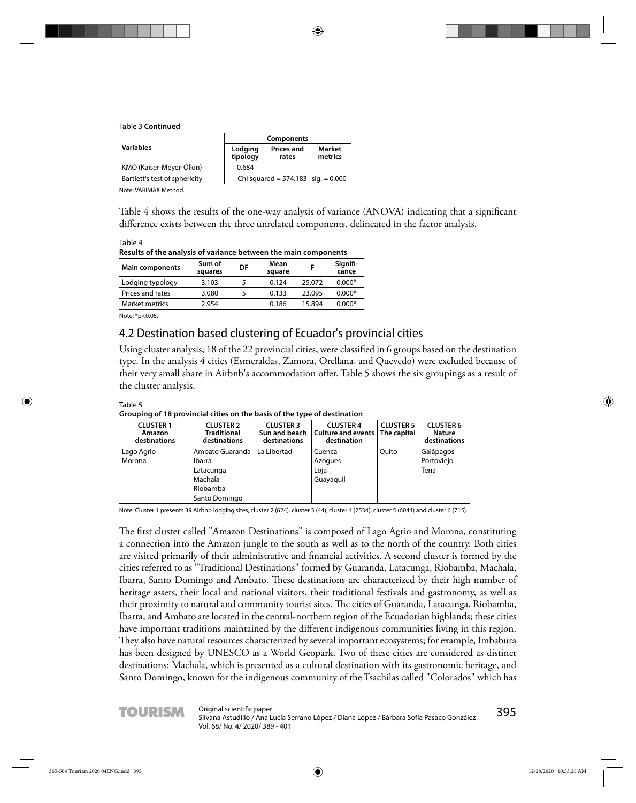#### Table 3 **Continued**

|                               | Components          |                                      |                   |  |  |  |
|-------------------------------|---------------------|--------------------------------------|-------------------|--|--|--|
| <b>Variables</b>              | Lodging<br>tipology | <b>Prices and</b><br>rates           | Market<br>metrics |  |  |  |
| KMO (Kaiser-Meyer-Olkin)      | 0.684               |                                      |                   |  |  |  |
| Bartlett's test of sphericity |                     | Chi squared = $574.183$ sig. = 0.000 |                   |  |  |  |

Note: VARIMAX Method.

Table 4 shows the results of the one-way analysis of variance (ANOVA) indicating that a significant difference exists between the three unrelated components, delineated in the factor analysis.

Table 4 **Results of the analysis of variance between the main components** 

| Sum of<br>squares | DF | Mean<br>square |        | Signifi-<br>cance |
|-------------------|----|----------------|--------|-------------------|
| 3.103             |    | 0.124          | 25.072 | $0.000*$          |
| 3.080             |    | 0.133          | 23.095 | $0.000*$          |
| 2.954             |    | 0.186          | 15.894 | $0.000*$          |
|                   |    |                |        |                   |

Note: \*p<0.05.

### 4.2 Destination based clustering of Ecuador's provincial cities

Using cluster analysis, 18 of the 22 provincial cities, were classified in 6 groups based on the destination type. In the analysis 4 cities (Esmeraldas, Zamora, Orellana, and Quevedo) were excluded because of their very small share in Airbnb's accommodation offer. Table 5 shows the six groupings as a result of the cluster analysis.

| Table 5                                                                  |  |  |
|--------------------------------------------------------------------------|--|--|
| Grouping of 18 provincial cities on the basis of the type of destination |  |  |
|                                                                          |  |  |

| <b>CLUSTER 1</b><br>Amazon<br>destinations | <b>CLUSTER 2</b><br><b>Traditional</b><br>destinations                         | <b>CLUSTER 3</b><br>Sun and beach<br>destinations | <b>CLUSTER 4</b><br>Culture and events<br>destination | <b>CLUSTER 5</b><br>The capital | <b>CLUSTER 6</b><br>Nature<br>destinations |
|--------------------------------------------|--------------------------------------------------------------------------------|---------------------------------------------------|-------------------------------------------------------|---------------------------------|--------------------------------------------|
| Lago Agrio<br>Morona                       | Ambato Guaranda<br>Ibarra<br>Latacunga<br>Machala<br>Riobamba<br>Santo Domingo | La Libertad                                       | Cuenca<br>Azogues<br>Loja<br>Guayaquil                | Ouito                           | Galápagos<br>Portoviejo<br>Tena            |

Note: Cluster 1 presents 39 Airbnb lodging sites, cluster 2 (624), cluster 3 (44), cluster 4 (2534), cluster 5 (6044) and cluster 6 (715).

The first cluster called "Amazon Destinations" is composed of Lago Agrio and Morona, constituting a connection into the Amazon jungle to the south as well as to the north of the country. Both cities are visited primarily of their administrative and financial activities. A second cluster is formed by the cities referred to as "Traditional Destinations" formed by Guaranda, Latacunga, Riobamba, Machala, Ibarra, Santo Domingo and Ambato. These destinations are characterized by their high number of heritage assets, their local and national visitors, their traditional festivals and gastronomy, as well as their proximity to natural and community tourist sites. The cities of Guaranda, Latacunga, Riobamba, Ibarra, and Ambato are located in the central-northern region of the Ecuadorian highlands; these cities have important traditions maintained by the different indigenous communities living in this region. They also have natural resources characterized by several important ecosystems; for example, Imbabura has been designed by UNESCO as a World Geopark. Two of these cities are considered as distinct destinations: Machala, which is presented as a cultural destination with its gastronomic heritage, and Santo Domingo, known for the indigenous community of the Tsachilas called "Colorados" which has

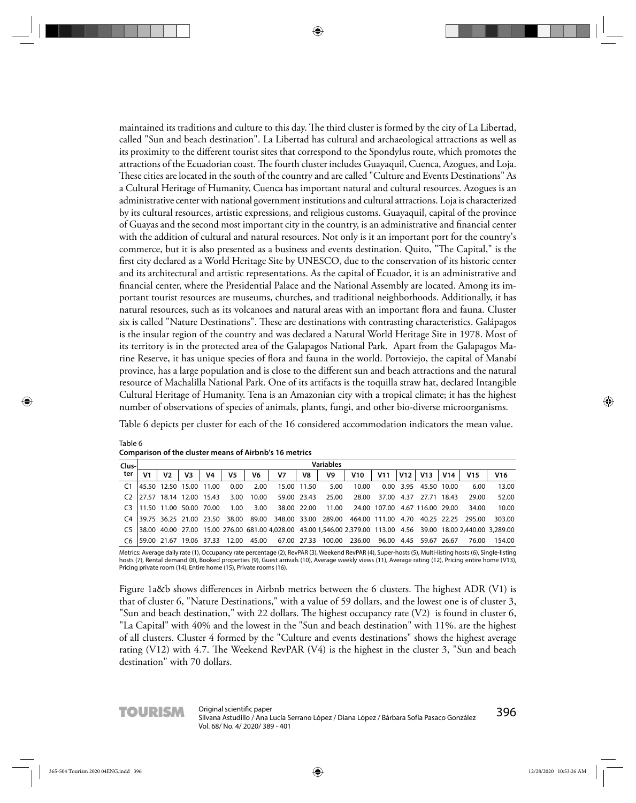maintained its traditions and culture to this day. The third cluster is formed by the city of La Libertad, called "Sun and beach destination". La Libertad has cultural and archaeological attractions as well as its proximity to the different tourist sites that correspond to the Spondylus route, which promotes the attractions of the Ecuadorian coast. The fourth cluster includes Guayaquil, Cuenca, Azogues, and Loja. These cities are located in the south of the country and are called "Culture and Events Destinations" As a Cultural Heritage of Humanity, Cuenca has important natural and cultural resources. Azogues is an administrative center with national government institutions and cultural attractions. Loja is characterized by its cultural resources, artistic expressions, and religious customs. Guayaquil, capital of the province of Guayas and the second most important city in the country, is an administrative and financial center with the addition of cultural and natural resources. Not only is it an important port for the country's commerce, but it is also presented as a business and events destination. Quito, "The Capital," is the first city declared as a World Heritage Site by UNESCO, due to the conservation of its historic center and its architectural and artistic representations. As the capital of Ecuador, it is an administrative and financial center, where the Presidential Palace and the National Assembly are located. Among its important tourist resources are museums, churches, and traditional neighborhoods. Additionally, it has natural resources, such as its volcanoes and natural areas with an important flora and fauna. Cluster six is called "Nature Destinations". These are destinations with contrasting characteristics. Galápagos is the insular region of the country and was declared a Natural World Heritage Site in 1978. Most of its territory is in the protected area of the Galapagos National Park. Apart from the Galapagos Marine Reserve, it has unique species of flora and fauna in the world. Portoviejo, the capital of Manabí province, has a large population and is close to the different sun and beach attractions and the natural resource of Machalilla National Park. One of its artifacts is the toquilla straw hat, declared Intangible Cultural Heritage of Humanity. Tena is an Amazonian city with a tropical climate; it has the highest number of observations of species of animals, plants, fungi, and other bio-diverse microorganisms.

Table 6 depicts per cluster for each of the 16 considered accommodation indicators the mean value.

| Clus- |    |                          |    |       |                                |       |             |             | Variables |                                                                                                                  |              |      |                       |       |                 |                 |
|-------|----|--------------------------|----|-------|--------------------------------|-------|-------------|-------------|-----------|------------------------------------------------------------------------------------------------------------------|--------------|------|-----------------------|-------|-----------------|-----------------|
| ter   | V1 | V <sub>2</sub>           | V3 | V4    | V5                             | V6    | V7          | V8          | V9        | V10                                                                                                              | V11          | V12  | V13                   | V14   | V <sub>15</sub> | V <sub>16</sub> |
|       |    | 145.50 12.50 15.00       |    | 11.00 | 0.00                           | 2.00  |             | 15.00 11.50 | 5.00      | 10.00                                                                                                            |              |      | 0.00 3.95 45.50 10.00 |       | 6.00            | 13.00           |
|       |    | 27.57 18.14 12.00 15.43  |    |       | 3.00                           | 10.00 | 59.00 23.43 |             | 25.00     | 28.00                                                                                                            | 37.00        | 4.37 | 27.71                 | 18.43 | 29.00           | 52.00           |
|       |    | 11.50 11.00 50.00 70.00  |    |       | 1.00                           | 3.00  |             | 38.00 22.00 | 11.00     |                                                                                                                  | 24.00 107.00 |      | 4.67 116.00 29.00     |       | 34.00           | 10.00           |
| C4    |    |                          |    |       | 139.75 36.25 21.00 23.50 38.00 |       |             |             |           | 89.00 348.00 33.00 289.00 464.00 111.00                                                                          |              | 4.70 | 40.25 22.25           |       | 295.00          | 303.00          |
|       |    |                          |    |       |                                |       |             |             |           | 38.00 40.00 27.00 15.00 276.00 681.00 4,028.00 43.00 1,546.00 2,379.00 113.00 4.56 39.00 18.00 2,440.00 3,289.00 |              |      |                       |       |                 |                 |
|       |    | 159.00 21.67 19.06 37.33 |    |       | 12.00                          | 45.00 | 67.00 27.33 |             | 100.00    | 236.00                                                                                                           | 96.00        |      | 4.45 59.67 26.67      |       | 76.00           | 154.00          |

Table 6 **Comparison of the cluster means of Airbnb's 16 metrics**

Metrics: Average daily rate (1), Occupancy rate percentage (2), RevPAR (3), Weekend RevPAR (4), Super-hosts (5), Multi-listing hosts (6), Single-listing hosts (7), Rental demand (8), Booked properties (9), Guest arrivals (10), Average weekly views (11), Average rating (12), Pricing entire home (V13), Pricing private room (14), Entire home (15), Private rooms (16).

Figure 1a&b shows differences in Airbnb metrics between the 6 clusters. The highest ADR (V1) is that of cluster 6, "Nature Destinations," with a value of 59 dollars, and the lowest one is of cluster 3, "Sun and beach destination," with 22 dollars. The highest occupancy rate  $(V2)$  is found in cluster 6, "La Capital" with 40% and the lowest in the "Sun and beach destination" with 11%. are the highest of all clusters. Cluster 4 formed by the "Culture and events destinations" shows the highest average rating (V12) with 4.7. The Weekend RevPAR (V4) is the highest in the cluster 3, "Sun and beach destination" with 70 dollars.

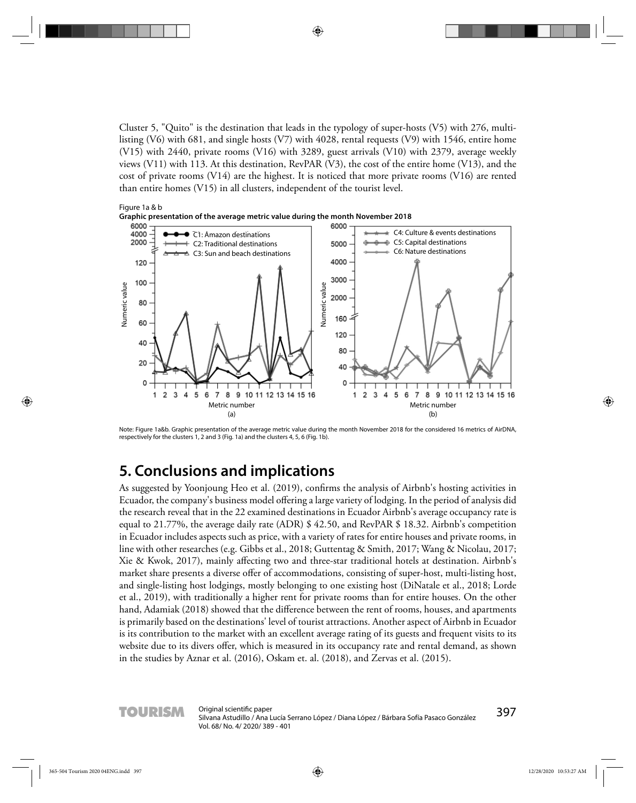Cluster 5, "Quito" is the destination that leads in the typology of super-hosts (V5) with 276, multilisting (V6) with 681, and single hosts (V7) with 4028, rental requests (V9) with 1546, entire home (V15) with 2440, private rooms (V16) with 3289, guest arrivals (V10) with 2379, average weekly views (V11) with 113. At this destination, RevPAR (V3), the cost of the entire home (V13), and the cost of private rooms (V14) are the highest. It is noticed that more private rooms (V16) are rented than entire homes (V15) in all clusters, independent of the tourist level.



Note: Figure 1a&b. Graphic presentation of the average metric value during the month November 2018 for the considered 16 metrics of AirDNA, respectively for the clusters 1, 2 and 3 (Fig. 1a) and the clusters 4, 5, 6 (Fig. 1b).

## **5. Conclusions and implications**

As suggested by Yoonjoung Heo et al. (2019), confirms the analysis of Airbnb's hosting activities in Ecuador, the company's business model offering a large variety of lodging. In the period of analysis did the research reveal that in the 22 examined destinations in Ecuador Airbnb's average occupancy rate is equal to 21.77%, the average daily rate (ADR) \$ 42.50, and RevPAR \$ 18.32. Airbnb's competition in Ecuador includes aspects such as price, with a variety of rates for entire houses and private rooms, in line with other researches (e.g. Gibbs et al., 2018; Guttentag & Smith, 2017; Wang & Nicolau, 2017; Xie & Kwok, 2017), mainly affecting two and three-star traditional hotels at destination. Airbnb's market share presents a diverse offer of accommodations, consisting of super-host, multi-listing host, and single-listing host lodgings, mostly belonging to one existing host (DiNatale et al., 2018; Lorde et al., 2019), with traditionally a higher rent for private rooms than for entire houses. On the other hand, Adamiak (2018) showed that the difference between the rent of rooms, houses, and apartments is primarily based on the destinations' level of tourist attractions. Another aspect of Airbnb in Ecuador is its contribution to the market with an excellent average rating of its guests and frequent visits to its website due to its divers offer, which is measured in its occupancy rate and rental demand, as shown in the studies by Aznar et al. (2016), Oskam et. al. (2018), and Zervas et al. (2015).

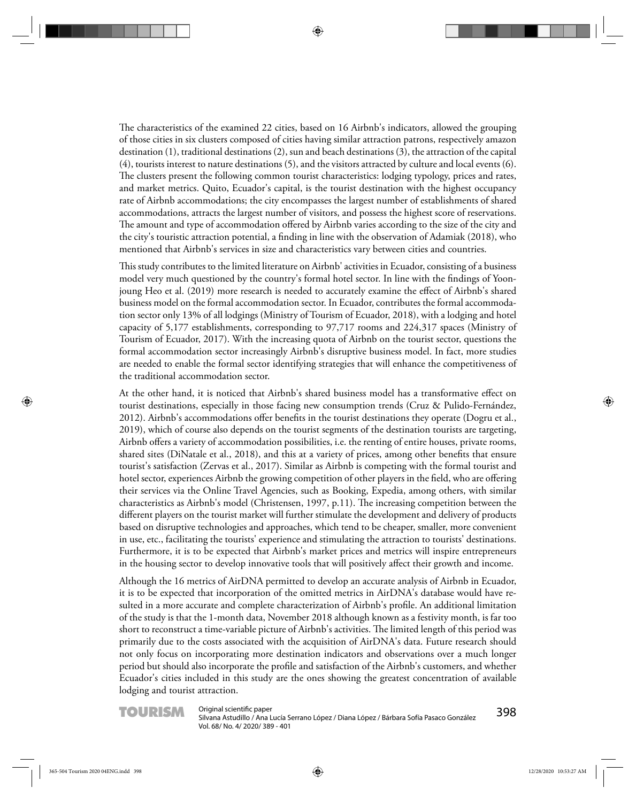The characteristics of the examined 22 cities, based on 16 Airbnb's indicators, allowed the grouping of those cities in six clusters composed of cities having similar attraction patrons, respectively amazon destination (1), traditional destinations (2), sun and beach destinations (3), the attraction of the capital (4), tourists interest to nature destinations (5), and the visitors attracted by culture and local events (6). The clusters present the following common tourist characteristics: lodging typology, prices and rates, and market metrics. Quito, Ecuador's capital, is the tourist destination with the highest occupancy rate of Airbnb accommodations; the city encompasses the largest number of establishments of shared accommodations, attracts the largest number of visitors, and possess the highest score of reservations. The amount and type of accommodation offered by Airbnb varies according to the size of the city and the city's touristic attraction potential, a finding in line with the observation of Adamiak (2018), who mentioned that Airbnb's services in size and characteristics vary between cities and countries.

This study contributes to the limited literature on Airbnb' activities in Ecuador, consisting of a business model very much questioned by the country's formal hotel sector. In line with the findings of Yoonjoung Heo et al. (2019) more research is needed to accurately examine the effect of Airbnb's shared business model on the formal accommodation sector. In Ecuador, contributes the formal accommodation sector only 13% of all lodgings (Ministry of Tourism of Ecuador, 2018), with a lodging and hotel capacity of 5,177 establishments, corresponding to 97,717 rooms and 224,317 spaces (Ministry of Tourism of Ecuador, 2017). With the increasing quota of Airbnb on the tourist sector, questions the formal accommodation sector increasingly Airbnb's disruptive business model. In fact, more studies are needed to enable the formal sector identifying strategies that will enhance the competitiveness of the traditional accommodation sector.

At the other hand, it is noticed that Airbnb's shared business model has a transformative effect on tourist destinations, especially in those facing new consumption trends (Cruz & Pulido-Fernández, 2012). Airbnb's accommodations offer benefits in the tourist destinations they operate (Dogru et al., 2019), which of course also depends on the tourist segments of the destination tourists are targeting, Airbnb offers a variety of accommodation possibilities, i.e. the renting of entire houses, private rooms, shared sites (DiNatale et al., 2018), and this at a variety of prices, among other benefits that ensure tourist's satisfaction (Zervas et al., 2017). Similar as Airbnb is competing with the formal tourist and hotel sector, experiences Airbnb the growing competition of other players in the field, who are offering their services via the Online Travel Agencies, such as Booking, Expedia, among others, with similar characteristics as Airbnb's model (Christensen, 1997, p.11). The increasing competition between the different players on the tourist market will further stimulate the development and delivery of products based on disruptive technologies and approaches, which tend to be cheaper, smaller, more convenient in use, etc., facilitating the tourists' experience and stimulating the attraction to tourists' destinations. Furthermore, it is to be expected that Airbnb's market prices and metrics will inspire entrepreneurs in the housing sector to develop innovative tools that will positively affect their growth and income.

Although the 16 metrics of AirDNA permitted to develop an accurate analysis of Airbnb in Ecuador, it is to be expected that incorporation of the omitted metrics in AirDNA's database would have resulted in a more accurate and complete characterization of Airbnb's profile. An additional limitation of the study is that the 1-month data, November 2018 although known as a festivity month, is far too short to reconstruct a time-variable picture of Airbnb's activities. The limited length of this period was primarily due to the costs associated with the acquisition of AirDNA's data. Future research should not only focus on incorporating more destination indicators and observations over a much longer period but should also incorporate the profile and satisfaction of the Airbnb's customers, and whether Ecuador's cities included in this study are the ones showing the greatest concentration of available lodging and tourist attraction.

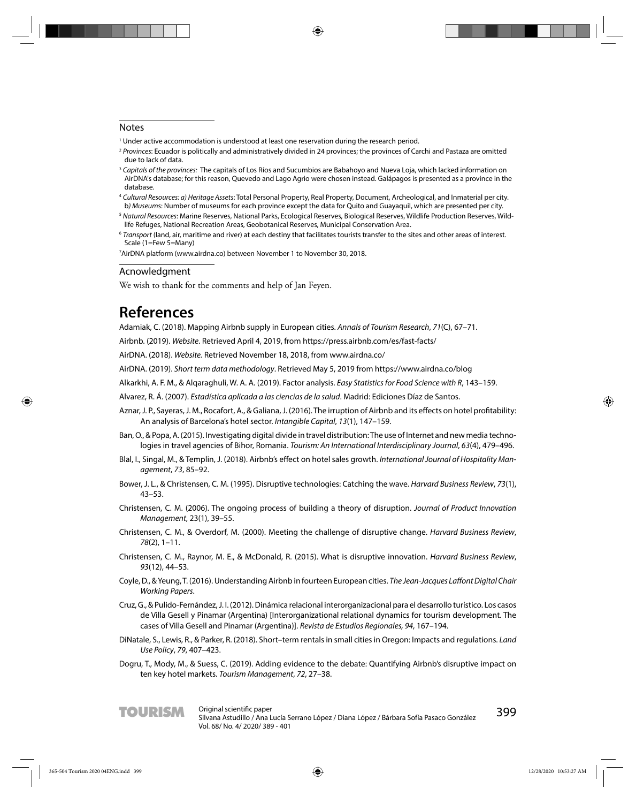#### **Notes**

- $^{\rm 1}$  Under active accommodation is understood at least one reservation during the research period.
- <sup>2</sup> Provinces: Ecuador is politically and administratively divided in 24 provinces; the provinces of Carchi and Pastaza are omitted due to lack of data.
- <sup>3</sup> Capitals of the provinces: The capitals of Los Ríos and Sucumbios are Babahoyo and Nueva Loja, which lacked information on AirDNA's database; for this reason, Quevedo and Lago Agrio were chosen instead. Galápagos is presented as a province in the database.
- <sup>4</sup> Cultural Resources: a) Heritage Assets: Total Personal Property, Real Property, Document, Archeological, and Inmaterial per city. b) Museums: Number of museums for each province except the data for Quito and Guayaquil, which are presented per city.
- <sup>5</sup> Natural Resources: Marine Reserves, National Parks, Ecological Reserves, Biological Reserves, Wildlife Production Reserves, Wildlife Refuges, National Recreation Areas, Geobotanical Reserves, Municipal Conservation Area.
- <sup>6</sup> Transport (land, air, maritime and river) at each destiny that facilitates tourists transfer to the sites and other areas of interest. Scale (1=Few 5=Many)

7 AirDNA platform (www.airdna.co) between November 1 to November 30, 2018.

#### Acnowledgment

We wish to thank for the comments and help of Jan Feyen.

## **References**

Adamiak, C. (2018). Mapping Airbnb supply in European cities. Annals of Tourism Research, 71(C), 67–71.

Airbnb. (2019). Website. Retrieved April 4, 2019, from https://press.airbnb.com/es/fast-facts/

AirDNA. (2018). Website. Retrieved November 18, 2018, from www.airdna.co/

AirDNA. (2019). Short term data methodology. Retrieved May 5, 2019 from https://www.airdna.co/blog

Alkarkhi, A. F. M., & Alqaraghuli, W. A. A. (2019). Factor analysis. Easy Statistics for Food Science with R, 143–159.

Alvarez, R. Á. (2007). Estadística aplicada a las ciencias de la salud. Madrid: Ediciones Díaz de Santos.

- Aznar, J. P., Sayeras, J. M., Rocafort, A., & Galiana, J. (2016). The irruption of Airbnb and its effects on hotel profitability: An analysis of Barcelona's hotel sector. Intangible Capital, 13(1), 147–159.
- Ban, O., & Popa, A. (2015). Investigating digital divide in travel distribution: The use of Internet and new media technologies in travel agencies of Bihor, Romania. Tourism: An International Interdisciplinary Journal, 63(4), 479–496.
- Blal, I., Singal, M., & Templin, J. (2018). Airbnb's effect on hotel sales growth. International Journal of Hospitality Management, 73, 85–92.
- Bower, J. L., & Christensen, C. M. (1995). Disruptive technologies: Catching the wave. Harvard Business Review, 73(1), 43–53.
- Christensen, C. M. (2006). The ongoing process of building a theory of disruption. Journal of Product Innovation Management, 23(1), 39–55.
- Christensen, C. M., & Overdorf, M. (2000). Meeting the challenge of disruptive change. Harvard Business Review, 78(2), 1–11.
- Christensen, C. M., Raynor, M. E., & McDonald, R. (2015). What is disruptive innovation. Harvard Business Review, 93(12), 44–53.
- Coyle, D., & Yeung, T. (2016). Understanding Airbnb in fourteen European cities. The Jean-Jacques Laffont Digital Chair Working Papers.
- Cruz, G., & Pulido-Fernández, J. I. (2012). Dinámica relacional interorganizacional para el desarrollo turístico. Los casos de Villa Gesell y Pinamar (Argentina) [Interorganizational relational dynamics for tourism development. The cases of Villa Gesell and Pinamar (Argentina)]. Revista de Estudios Regionales, 94, 167–194.
- DiNatale, S., Lewis, R., & Parker, R. (2018). Short–term rentals in small cities in Oregon: Impacts and regulations. Land Use Policy, 79, 407–423.
- Dogru, T., Mody, M., & Suess, C. (2019). Adding evidence to the debate: Quantifying Airbnb's disruptive impact on ten key hotel markets. Tourism Management, 72, 27–38.

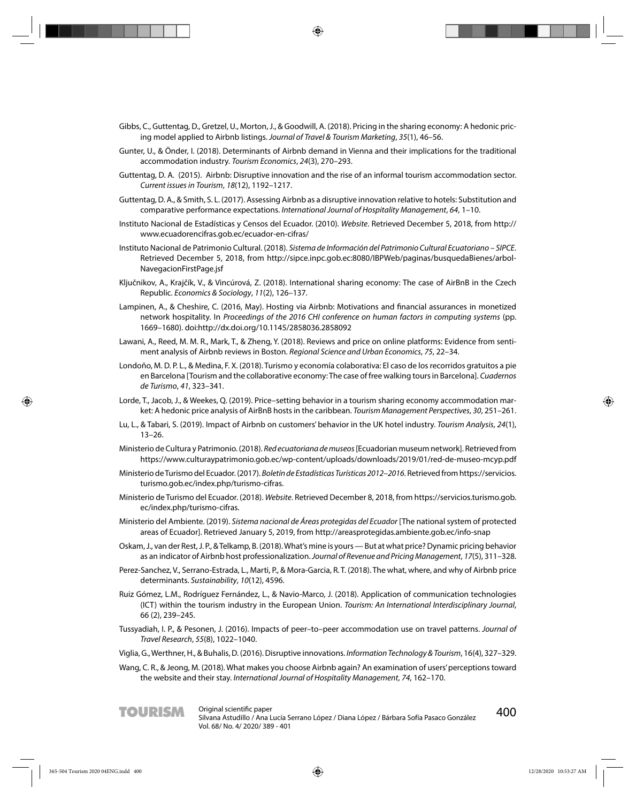- Gibbs, C., Guttentag, D., Gretzel, U., Morton, J., & Goodwill, A. (2018). Pricing in the sharing economy: A hedonic pricing model applied to Airbnb listings. Journal of Travel & Tourism Marketing, 35(1), 46–56.
- Gunter, U., & Önder, I. (2018). Determinants of Airbnb demand in Vienna and their implications for the traditional accommodation industry. Tourism Economics, 24(3), 270–293.
- Guttentag, D. A. (2015). Airbnb: Disruptive innovation and the rise of an informal tourism accommodation sector. Current issues in Tourism, 18(12), 1192–1217.
- Guttentag, D. A., & Smith, S. L. (2017). Assessing Airbnb as a disruptive innovation relative to hotels: Substitution and comparative performance expectations. International Journal of Hospitality Management, 64, 1–10.
- Instituto Nacional de Estadísticas y Censos del Ecuador. (2010). Website. Retrieved December 5, 2018, from http:// www.ecuadorencifras.gob.ec/ecuador-en-cifras/
- Instituto Nacional de Patrimonio Cultural. (2018). Sistema de Información del Patrimonio Cultural Ecuatoriano SIPCE. Retrieved December 5, 2018, from http://sipce.inpc.gob.ec:8080/IBPWeb/paginas/busquedaBienes/arbol-NavegacionFirstPage.jsf
- Ključnikov, A., Krajčík, V., & Vincúrová, Z. (2018). International sharing economy: The case of AirBnB in the Czech Republic. Economics & Sociology, 11(2), 126–137.
- Lampinen, A., & Cheshire, C. (2016, May). Hosting via Airbnb: Motivations and financial assurances in monetized network hospitality. In Proceedings of the 2016 CHI conference on human factors in computing systems (pp. 1669–1680). doi:http://dx.doi.org/10.1145/2858036.2858092
- Lawani, A., Reed, M. M. R., Mark, T., & Zheng, Y. (2018). Reviews and price on online platforms: Evidence from sentiment analysis of Airbnb reviews in Boston. Regional Science and Urban Economics, 75, 22–34.
- Londoño, M. D. P. L., & Medina, F. X. (2018). Turismo y economía colaborativa: El caso de los recorridos gratuitos a pie en Barcelona [Tourism and the collaborative economy: The case of free walking tours in Barcelona]. Cuadernos de Turismo, 41, 323–341.
- Lorde, T., Jacob, J., & Weekes, Q. (2019). Price–setting behavior in a tourism sharing economy accommodation market: A hedonic price analysis of AirBnB hosts in the caribbean. Tourism Management Perspectives, 30, 251–261.
- Lu, L., & Tabari, S. (2019). Impact of Airbnb on customers' behavior in the UK hotel industry. Tourism Analysis, 24(1), 13–26.
- Ministerio de Cultura y Patrimonio. (2018). Red ecuatoriana de museos [Ecuadorian museum network]. Retrieved from https://www.culturaypatrimonio.gob.ec/wp-content/uploads/downloads/2019/01/red-de-museo-mcyp.pdf
- Ministerio de Turismo del Ecuador. (2017). Boletín de Estadísticas Turísticas 2012–2016. Retrieved from https://servicios. turismo.gob.ec/index.php/turismo-cifras.
- Ministerio de Turismo del Ecuador. (2018). Website. Retrieved December 8, 2018, from https://servicios.turismo.gob. ec/index.php/turismo-cifras.
- Ministerio del Ambiente. (2019). Sistema nacional de Áreas protegidas del Ecuador [The national system of protected areas of Ecuador]. Retrieved January 5, 2019, from http://areasprotegidas.ambiente.gob.ec/info-snap
- Oskam, J., van der Rest, J. P., & Telkamp, B. (2018). What's mine is yours But at what price? Dynamic pricing behavior as an indicator of Airbnb host professionalization. Journal of Revenue and Pricing Management, 17(5), 311–328.
- Perez-Sanchez, V., Serrano-Estrada, L., Marti, P., & Mora-Garcia, R. T. (2018). The what, where, and why of Airbnb price determinants. Sustainability, 10(12), 4596.
- Ruiz Gómez, L.M., Rodríguez Fernández, L., & Navio-Marco, J. (2018). Application of communication technologies (ICT) within the tourism industry in the European Union. Tourism: An International Interdisciplinary Journal, 66 (2), 239–245.
- Tussyadiah, I. P., & Pesonen, J. (2016). Impacts of peer–to–peer accommodation use on travel patterns. Journal of Travel Research, 55(8), 1022–1040.
- Viglia, G., Werthner, H., & Buhalis, D. (2016). Disruptive innovations. Information Technology & Tourism, 16(4), 327–329.
- Wang, C. R., & Jeong, M. (2018). What makes you choose Airbnb again? An examination of users' perceptions toward the website and their stay. International Journal of Hospitality Management, 74, 162–170.